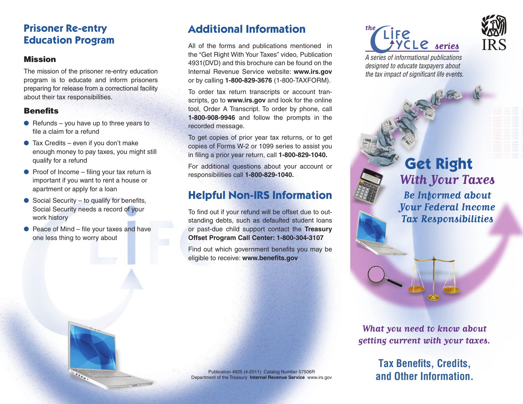## **Prisoner Re-entry Education Program**

### Mission

The mission of the prisoner re-entry education program is to educate and inform prisoners preparing for release from a correctional facility about their tax responsibilities.

### **Benefits**

- $\bullet$  Refunds you have up to three years to file a claim for a refund
- $\bullet$  Tax Credits even if you don't make enough money to pay taxes, you might still qualify for a refund
- $\bullet$  Proof of Income filing your tax return is important if you want to rent a house or apartment or apply for a loan
- $\bullet$  Social Security to qualify for benefits, Social Security needs a record of your work history
- $\bullet$  Peace of Mind file your taxes and have one less thing to worry about

# **Additional Information**

All of the forms and publications mentioned in the "Get Right With Your Taxes" video, Publication 4931(DVD) and this brochure can be found on the Internal Revenue Service website: **www.irs.gov** or by calling **1-800-829-3676** (1-800-TAXFORM).

To order tax return transcripts or account transcripts, go to **www.irs.gov** and look for the online tool, Order A Transcript. To order by phone, call **1-800-908-9946** and follow the prompts in the recorded message.

To get copies of prior year tax returns, or to get copies of Forms W-2 or 1099 series to assist you in filing a prior year return, call **1-800-829-1040.**

For additional questions about your account or responsibilities call **1-800-829-1040.**

## **Helpful Non-IRS Information**

To find out if your refund will be offset due to outstanding debts, such as defaulted student loans or past-due child support contact the **Treasury Offset Program Call Center: 1-800-304-3107**

Find out which government benefits you may be eligible to receive: **www.benefits.gov**

Publication 4925 (4-2011) Catalog Number 57506R Department of the Treasury **Internal Revenue Service** www.irs.gov **LIFE YCLE** series



*A series of informational publications designed to educate taxpayers about the tax impact of significant life events.*

> **Get Right With Your Taxes Be Informed about Your Federal Income Tax Responsibilities**

**What you need to know about getting current with your taxes.**

## **Tax Benefits, Credits, and Other Information.**